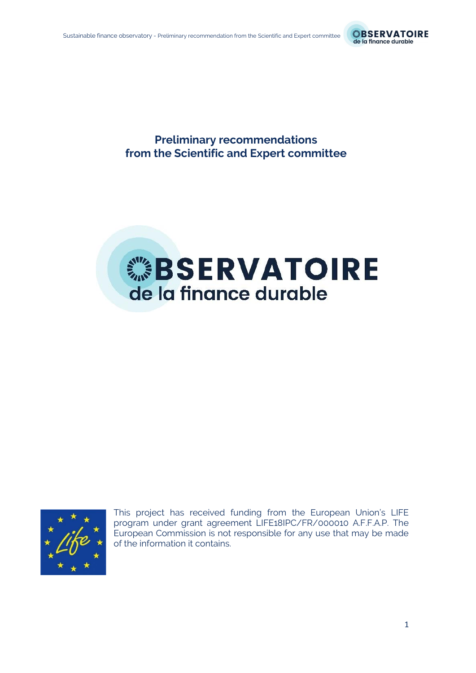

**Preliminary recommendations from the Scientific and Expert committee**

# **WEBSERVATOIRE** de la finance durable



This project has received funding from the European Union's LIFE program under grant agreement LIFE18IPC/FR/000010 A.F.F.A.P. The European Commission is not responsible for any use that may be made of the information it contains.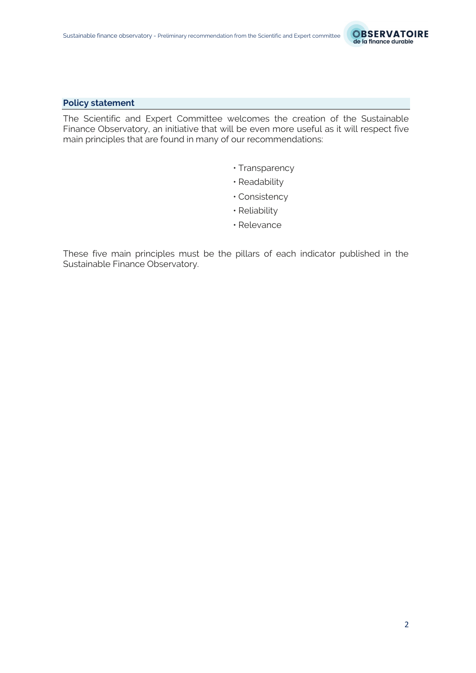

## **Policy statement**

The Scientific and Expert Committee welcomes the creation of the Sustainable Finance Observatory, an initiative that will be even more useful as it will respect five main principles that are found in many of our recommendations:

- Transparency
- Readability
- Consistency
- Reliability
- Relevance

These five main principles must be the pillars of each indicator published in the Sustainable Finance Observatory.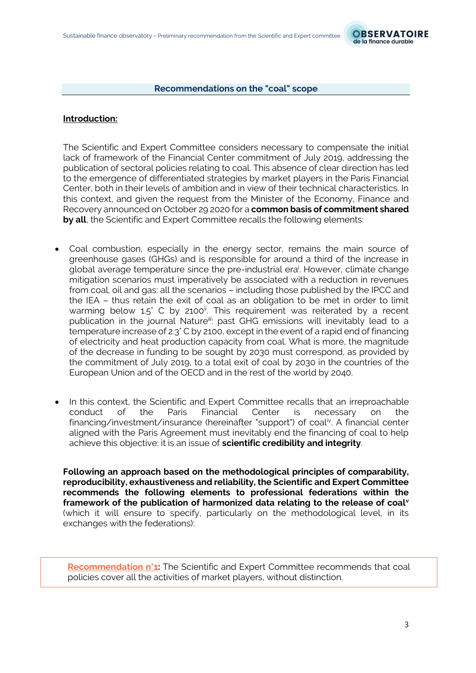

#### **Recommendations on the "coal" scope**

## **Introduction:**

The Scientific and Expert Committee considers necessary to compensate the initial lack of framework of the Financial Center commitment of July 2019, addressing the publication of sectoral policies relating to coal. This absence of clear direction has led to the emergence of differentiated strategies by market players in the Paris Financial Center, both in their levels of ambition and in view of their technical characteristics. In this context, and given the request from the Minister of the Economy, Finance and Recovery announced on October 29 2020 for a **common basis of commitment shared by all**, the Scientific and Expert Committee recalls the following elements:

- Coal combustion, especially in the energy sector, remains the main source of greenhouse gases (GHGs) and is responsible for around a third of the increase in global average temperature since the pre-industrial era<sup>i</sup>. However, climate change mitigation scenarios must imperatively be associated with a reduction in revenues from coal, oil and gas: all the scenarios – including those published by the IPCC and the IEA – thus retain the exit of coal as an obligation to be met in order to limit warming below 1.5° C by 2100<sup>ii</sup>. This requirement was reiterated by a recent publication in the journal Nature*iii*: past GHG emissions will inevitably lead to a temperature increase of 2.3° C by 2100, except in the event of a rapid end of financing of electricity and heat production capacity from coal. What is more, the magnitude of the decrease in funding to be sought by 2030 must correspond, as provided by the commitment of July 2019, to a total exit of coal by 2030 in the countries of the European Union and of the OECD and in the rest of the world by 2040.
- In this context, the Scientific and Expert Committee recalls that an irreproachable conduct of the Paris Financial Center is necessary on the financing/investment/insurance (hereinafter "support") of coal<sup>iv</sup>. A financial center aligned with the Paris Agreement must inevitably end the financing of coal to help achieve this objective: it is an issue of **scientific credibility and integrity**.

**Following an approach based on the methodological principles of comparability, reproducibility, exhaustiveness and reliability, the Scientific and Expert Committee recommends the following elements to professional federations within the framework of the publication of harmonized data relating to the release of coal<sup>v</sup>** (which it will ensure to specify, particularly on the methodological level, in its exchanges with the federations):

**Recommendation n°1:** The Scientific and Expert Committee recommends that coal policies cover all the activities of market players, without distinction.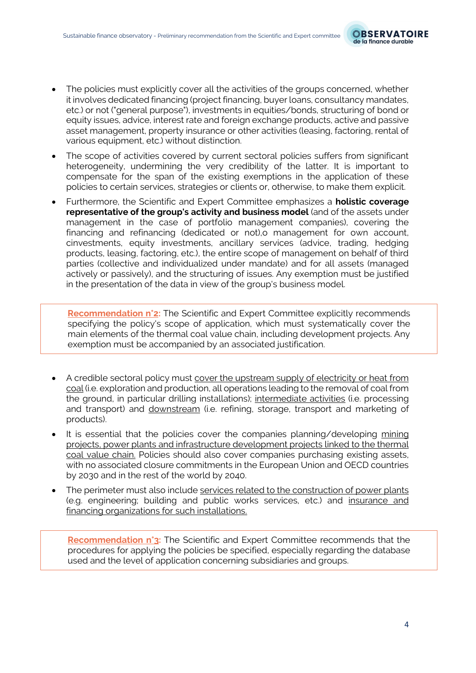

- The policies must explicitly cover all the activities of the groups concerned, whether it involves dedicated financing (project financing, buyer loans, consultancy mandates, etc.) or not ("general purpose"), investments in equities/bonds, structuring of bond or equity issues, advice, interest rate and foreign exchange products, active and passive asset management, property insurance or other activities (leasing, factoring, rental of various equipment, etc.) without distinction.
- The scope of activities covered by current sectoral policies suffers from significant heterogeneity, undermining the very credibility of the latter. It is important to compensate for the span of the existing exemptions in the application of these policies to certain services, strategies or clients or, otherwise, to make them explicit.
- Furthermore, the Scientific and Expert Committee emphasizes a **holistic coverage representative of the group's activity and business model** (and of the assets under management in the case of portfolio management companies), covering the financing and refinancing (dedicated or not),o management for own account, cinvestments, equity investments, ancillary services (advice, trading, hedging products, leasing, factoring, etc.), the entire scope of management on behalf of third parties (collective and individualized under mandate) and for all assets (managed actively or passively), and the structuring of issues. Any exemption must be justified in the presentation of the data in view of the group's business model.

**Recommendation n°2:** The Scientific and Expert Committee explicitly recommends specifying the policy's scope of application, which must systematically cover the main elements of the thermal coal value chain, including development projects. Any exemption must be accompanied by an associated justification.

- A credible sectoral policy must cover the upstream supply of electricity or heat from coal (i.e. exploration and production, all operations leading to the removal of coal from the ground, in particular drilling installations); intermediate activities (i.e. processing and transport) and downstream (i.e. refining, storage, transport and marketing of products).
- It is essential that the policies cover the companies planning/developing mining projects, power plants and infrastructure development projects linked to the thermal coal value chain. Policies should also cover companies purchasing existing assets, with no associated closure commitments in the European Union and OECD countries by 2030 and in the rest of the world by 2040.
- The perimeter must also include services related to the construction of power plants (e.g. engineering; building and public works services, etc.) and insurance and financing organizations for such installations.

**Recommendation n°3:** The Scientific and Expert Committee recommends that the procedures for applying the policies be specified, especially regarding the database used and the level of application concerning subsidiaries and groups.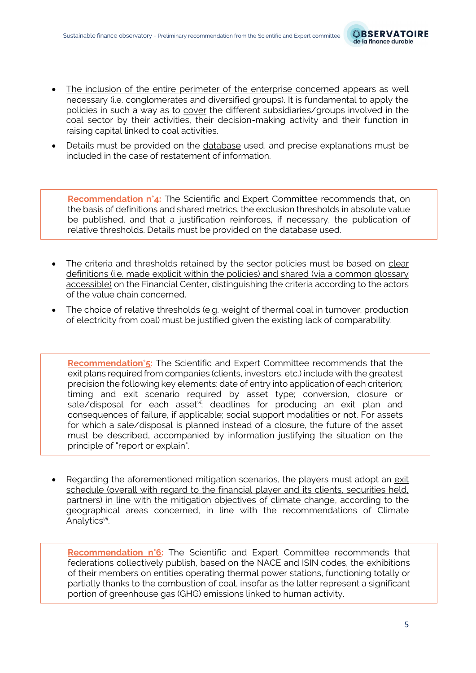

- The inclusion of the entire perimeter of the enterprise concerned appears as well necessary (i.e. conglomerates and diversified groups). It is fundamental to apply the policies in such a way as to cover the different subsidiaries/groups involved in the coal sector by their activities, their decision-making activity and their function in raising capital linked to coal activities.
- Details must be provided on the database used, and precise explanations must be included in the case of restatement of information.

**Recommendation n°4:** The Scientific and Expert Committee recommends that, on the basis of definitions and shared metrics, the exclusion thresholds in absolute value be published, and that a justification reinforces, if necessary, the publication of relative thresholds. Details must be provided on the database used.

- The criteria and thresholds retained by the sector policies must be based on clear definitions (i.e. made explicit within the policies) and shared (via a common glossary accessible) on the Financial Center, distinguishing the criteria according to the actors of the value chain concerned.
- The choice of relative thresholds (e.g. weight of thermal coal in turnover; production of electricity from coal) must be justified given the existing lack of comparability.

**Recommendation°5:** The Scientific and Expert Committee recommends that the exit plans required from companies (clients, investors, etc.) include with the greatest precision the following key elements: date of entry into application of each criterion; timing and exit scenario required by asset type; conversion, closure or sale/disposal for each asset*vi*; deadlines for producing an exit plan and consequences of failure, if applicable; social support modalities or not. For assets for which a sale/disposal is planned instead of a closure, the future of the asset must be described, accompanied by information justifying the situation on the principle of "report or explain".

• Regarding the aforementioned mitigation scenarios, the players must adopt an exit schedule (overall with regard to the financial player and its clients, securities held, partners) in line with the mitigation objectives of climate change, according to the geographical areas concerned, in line with the recommendations of Climate Analytics*vii* .

**Recommendation n°6:** The Scientific and Expert Committee recommends that federations collectively publish, based on the NACE and ISIN codes, the exhibitions of their members on entities operating thermal power stations, functioning totally or partially thanks to the combustion of coal, insofar as the latter represent a significant portion of greenhouse gas (GHG) emissions linked to human activity.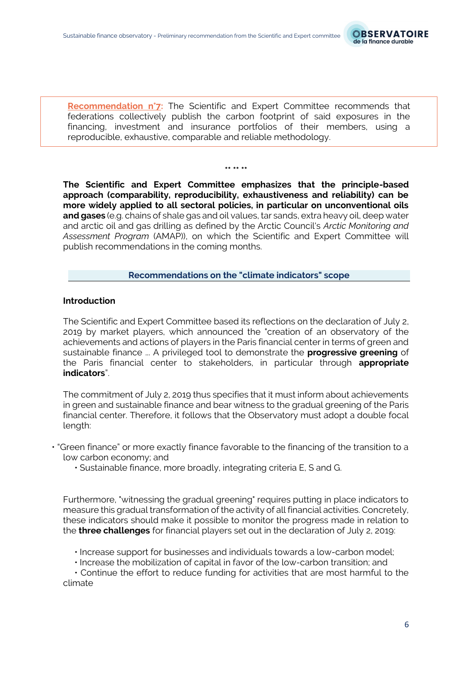

**Recommendation n°7:** The Scientific and Expert Committee recommends that federations collectively publish the carbon footprint of said exposures in the financing, investment and insurance portfolios of their members, using a reproducible, exhaustive, comparable and reliable methodology.

**The Scientific and Expert Committee emphasizes that the principle-based approach (comparability, reproducibility, exhaustiveness and reliability) can be more widely applied to all sectoral policies, in particular on unconventional oils and gases** (e.g. chains of shale gas and oil values, tar sands, extra heavy oil, deep water and arctic oil and gas drilling as defined by the Arctic Council's *Arctic Monitoring and Assessment Program* (AMAP)), on which the Scientific and Expert Committee will publish recommendations in the coming months.

**\*\* \*\* \*\***

#### **Recommendations on the "climate indicators" scope**

### **Introduction**

The Scientific and Expert Committee based its reflections on the declaration of July 2, 2019 by market players, which announced the "creation of an observatory of the achievements and actions of players in the Paris financial center in terms of green and sustainable finance ... A privileged tool to demonstrate the **progressive greening** of the Paris financial center to stakeholders, in particular through **appropriate indicators**".

The commitment of July 2, 2019 thus specifies that it must inform about achievements in green and sustainable finance and bear witness to the gradual greening of the Paris financial center. Therefore, it follows that the Observatory must adopt a double focal length:

- "Green finance" or more exactly finance favorable to the financing of the transition to a low carbon economy; and
	- Sustainable finance, more broadly, integrating criteria E, S and G.

Furthermore, "witnessing the gradual greening" requires putting in place indicators to measure this gradual transformation of the activity of all financial activities. Concretely, these indicators should make it possible to monitor the progress made in relation to the **three challenges** for financial players set out in the declaration of July 2, 2019:

- Increase support for businesses and individuals towards a low-carbon model;
- Increase the mobilization of capital in favor of the low-carbon transition; and

• Continue the effort to reduce funding for activities that are most harmful to the climate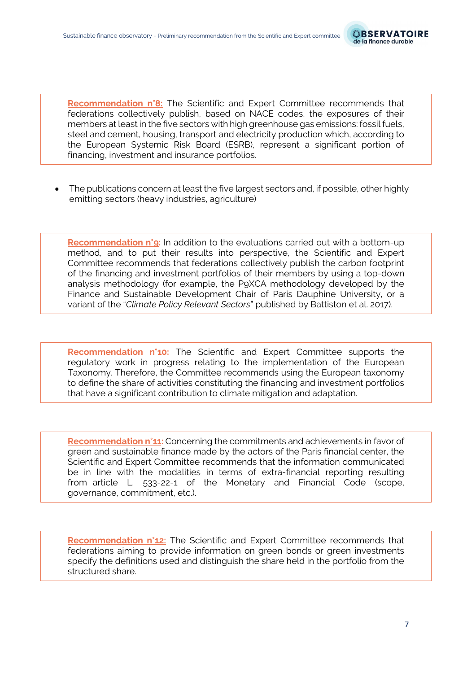

**Recommendation n°8:** The Scientific and Expert Committee recommends that federations collectively publish, based on NACE codes, the exposures of their members at least in the five sectors with high greenhouse gas emissions: fossil fuels, steel and cement, housing, transport and electricity production which, according to the European Systemic Risk Board (ESRB), represent a significant portion of financing, investment and insurance portfolios.

• The publications concern at least the five largest sectors and, if possible, other highly emitting sectors (heavy industries, agriculture)

**Recommendation n°9:** In addition to the evaluations carried out with a bottom-up method, and to put their results into perspective, the Scientific and Expert Committee recommends that federations collectively publish the carbon footprint of the financing and investment portfolios of their members by using a top-down analysis methodology (for example, the P9XCA methodology developed by the Finance and Sustainable Development Chair of Paris Dauphine University, or a variant of the "*Climate Policy Relevant Sectors*" published by Battiston et al. 2017).

**Recommendation n°10:** The Scientific and Expert Committee supports the regulatory work in progress relating to the implementation of the European Taxonomy. Therefore, the Committee recommends using the European taxonomy to define the share of activities constituting the financing and investment portfolios that have a significant contribution to climate mitigation and adaptation.

**Recommendation n°11:** Concerning the commitments and achievements in favor of green and sustainable finance made by the actors of the Paris financial center, the Scientific and Expert Committee recommends that the information communicated be in line with the modalities in terms of extra-financial reporting resulting from article L. 533-22-1 of the Monetary and Financial Code (scope, governance, commitment, etc.).

**Recommendation n°12:** The Scientific and Expert Committee recommends that federations aiming to provide information on green bonds or green investments specify the definitions used and distinguish the share held in the portfolio from the structured share.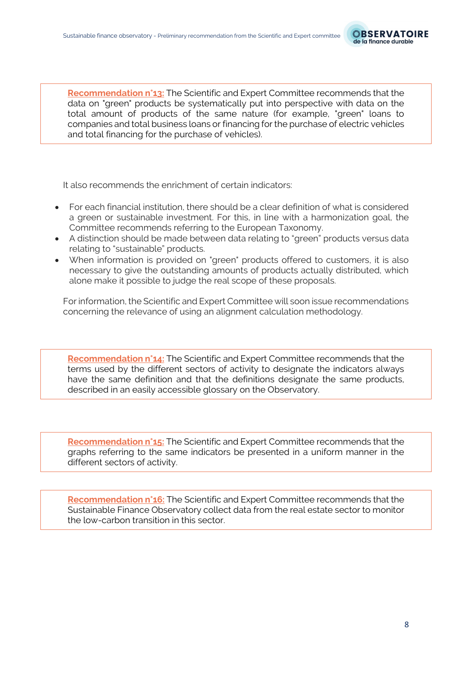

**Recommendation n°13:** The Scientific and Expert Committee recommends that the data on "green" products be systematically put into perspective with data on the total amount of products of the same nature (for example, "green" loans to companies and total business loans or financing for the purchase of electric vehicles and total financing for the purchase of vehicles).

It also recommends the enrichment of certain indicators:

- For each financial institution, there should be a clear definition of what is considered a green or sustainable investment. For this, in line with a harmonization goal, the Committee recommends referring to the European Taxonomy.
- A distinction should be made between data relating to "green" products versus data relating to "sustainable" products.
- When information is provided on "green" products offered to customers, it is also necessary to give the outstanding amounts of products actually distributed, which alone make it possible to judge the real scope of these proposals.

For information, the Scientific and Expert Committee will soon issue recommendations concerning the relevance of using an alignment calculation methodology.

**Recommendation n°14:** The Scientific and Expert Committee recommends that the terms used by the different sectors of activity to designate the indicators always have the same definition and that the definitions designate the same products, described in an easily accessible glossary on the Observatory.

**Recommendation n°15:** The Scientific and Expert Committee recommends that the graphs referring to the same indicators be presented in a uniform manner in the different sectors of activity.

**Recommendation n°16:** The Scientific and Expert Committee recommends that the Sustainable Finance Observatory collect data from the real estate sector to monitor the low-carbon transition in this sector.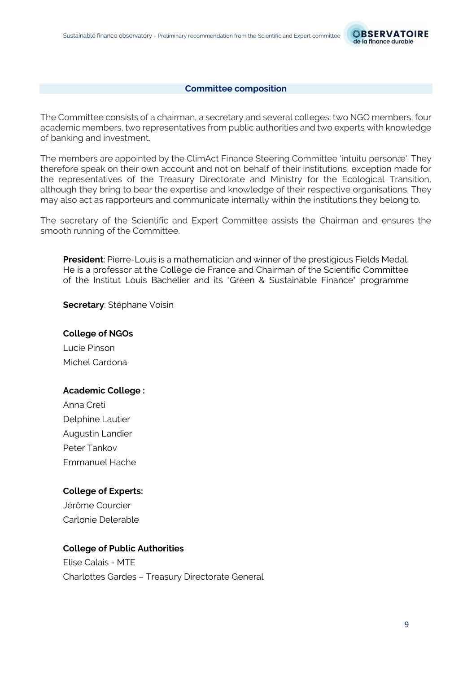

#### **Committee composition**

The Committee consists of a chairman, a secretary and several colleges: two NGO members, four academic members, two representatives from public authorities and two experts with knowledge of banking and investment.

The members are appointed by the ClimAct Finance Steering Committee 'intuitu personæ'. They therefore speak on their own account and not on behalf of their institutions, exception made for the representatives of the Treasury Directorate and Ministry for the Ecological Transition, although they bring to bear the expertise and knowledge of their respective organisations. They may also act as rapporteurs and communicate internally within the institutions they belong to.

The secretary of the Scientific and Expert Committee assists the Chairman and ensures the smooth running of the Committee.

**President**: Pierre-Louis is a mathematician and winner of the prestigious Fields Medal. He is a professor at the Collège de France and Chairman of the Scientific Committee of the Institut Louis Bachelier and its "Green & Sustainable Finance" programme

**Secretary**: Stéphane Voisin

## **College of NGOs**

Lucie Pinson Michel Cardona

## **Academic College :**

Anna Creti Delphine Lautier Augustin Landier Peter Tankov Emmanuel Hache

## **College of Experts:**

Jérôme Courcier Carlonie Delerable

## **College of Public Authorities**

Elise Calais - MTE Charlottes Gardes – Treasury Directorate General